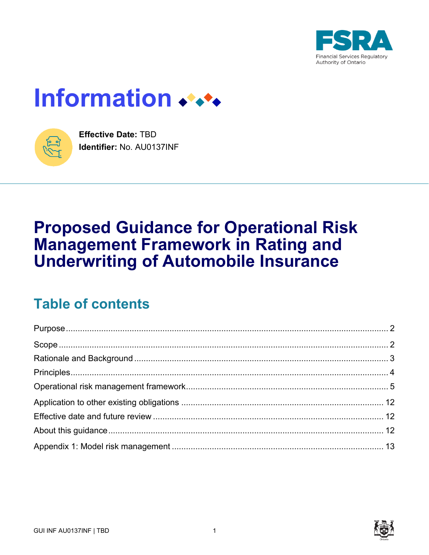

# Information



**Effective Date: TBD** Identifier: No. AU0137INF

# **Proposed Guidance for Operational Risk Management Framework in Rating and Underwriting of Automobile Insurance**

# **Table of contents**

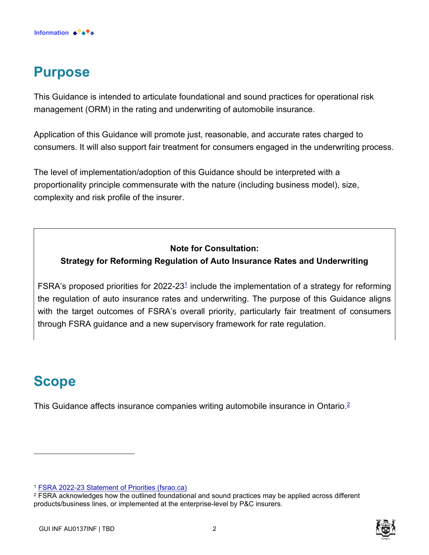

# <span id="page-1-0"></span>**Purpose**

This Guidance is intended to articulate foundational and sound practices for operational risk management (ORM) in the rating and underwriting of automobile insurance.

Application of this Guidance will promote just, reasonable, and accurate rates charged to consumers. It will also support fair treatment for consumers engaged in the underwriting process.

The level of implementation/adoption of this Guidance should be interpreted with a proportionality principle commensurate with the nature (including business model), size, complexity and risk profile of the insurer.

#### **Note for Consultation:**

#### **Strategy for Reforming Regulation of Auto Insurance Rates and Underwriting**

FSRA's proposed priorities for 2022-23<sup>1</sup> include the implementation of a strategy for reforming the regulation of auto insurance rates and underwriting. The purpose of this Guidance aligns with the target outcomes of FSRA's overall priority, particularly fair treatment of consumers through FSRA guidance and a new supervisory framework for rate regulation.

# <span id="page-1-1"></span>**Scope**

This Guidance affects insurance companies writing automobile insurance in Ontario.<sup>2</sup>

<sup>1</sup> [FSRA 2022-23 Statement of Priorities \(fsrao.ca\)](https://www.fsrao.ca/media/4656/download)



 $\texttt{^{2} FSRA}$  acknowledges how the outlined foundational and sound practices may be applied across different  $\texttt{[1]}$ products/business lines, or implemented at the enterprise-level by P&C insurers.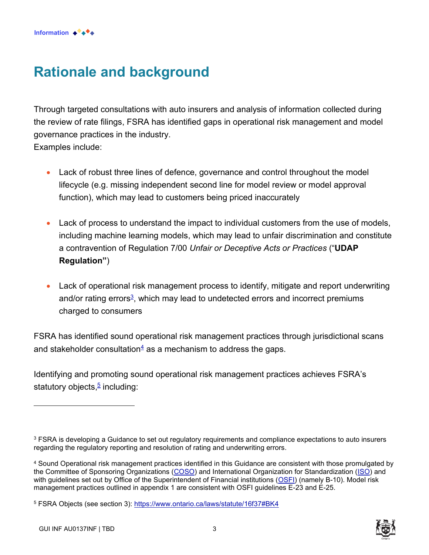# <span id="page-2-0"></span>**Rationale and background**

Through targeted consultations with auto insurers and analysis of information collected during the review of rate filings, FSRA has identified gaps in operational risk management and model governance practices in the industry. Examples include:

- Lack of robust three lines of defence, governance and control throughout the model lifecycle (e.g. missing independent second line for model review or model approval function), which may lead to customers being priced inaccurately
- Lack of process to understand the impact to individual customers from the use of models, including machine learning models, which may lead to unfair discrimination and constitute a contravention of Regulation 7/00 *Unfair or Deceptive Acts or Practices* ("**UDAP Regulation"**)
- Lack of operational risk management process to identify, mitigate and report underwriting and/or rating errors<sup>3</sup>, which may lead to undetected errors and incorrect premiums charged to consumers

FSRA has identified sound operational risk management practices through jurisdictional scans and stakeholder consultation $4$  as a mechanism to address the gaps.

Identifying and promoting sound operational risk management practices achieves FSRA's statutory objects,<sup>5</sup> including:



 $\rm ^3$  FSRA is developing a Guidance to set out regulatory requirements and compliance expectations to auto insurers regarding the regulatory reporting and resolution of rating and underwriting errors.

<sup>4</sup> Sound Operational risk management practices identified in this Guidance are consistent with those promulgated by the Committee of Sponsoring Organizations [\(COSO\)](https://www.coso.org/Pages/default.aspx) and International Organization for Standardization [\(ISO\)](https://www.iso.org/home.html) and with guidelines set out by Office of the Superintendent of Financial institutions [\(OSFI\)](https://www.osfi-bsif.gc.ca/Eng/Pages/default.aspx) (namely B-10). Model risk management practices outlined in appendix 1 are consistent with OSFI guidelines E-23 and E-25.

<sup>&</sup>lt;sup>5</sup> FSRA Objects (see section 3): https://www.ontario.ca/laws/statute/16f37#BK4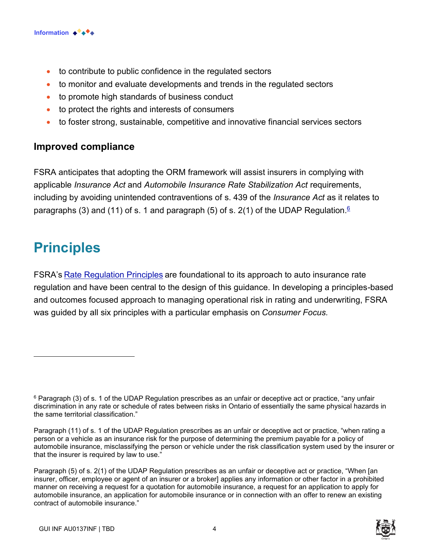

- to contribute to public confidence in the regulated sectors
- to monitor and evaluate developments and trends in the regulated sectors
- to promote high standards of business conduct
- to protect the rights and interests of consumers
- to foster strong, sustainable, competitive and innovative financial services sectors

### **Improved compliance**

FSRA anticipates that adopting the ORM framework will assist insurers in complying with applicable *Insurance Act* and *Automobile Insurance Rate Stabilization Act* requirements, including by avoiding unintended contraventions of s. 439 of the *Insurance Act* as it relates to paragraphs (3) and (11) of s. 1 and paragraph (5) of s. 2(1) of the UDAP Regulation. $^\mathfrak{G}$ 

### <span id="page-3-0"></span>**Principles**

FSRA's [Rate Regulation Principles](https://www.fsrao.ca/industry/auto-insurance-sector/guidance/standard-filing#appendix1) are foundational to its approach to auto insurance rate regulation and have been central to the design of this guidance. In developing a principles-based and outcomes focused approach to managing operational risk in rating and underwriting, FSRA was guided by all six principles with a particular emphasis on *Consumer Focus.*

Paragraph (5) of s. 2(1) of the UDAP Regulation prescribes as an unfair or deceptive act or practice, "When [an insurer, officer, employee or agent of an insurer or a broker] applies any information or other factor in a prohibited manner on receiving a request for a quotation for automobile insurance, a request for an application to apply for automobile insurance, an application for automobile insurance or in connection with an offer to renew an existing contract of automobile insurance."



 $^6$  Paragraph (3) of s. 1 of the UDAP Regulation prescribes as an unfair or deceptive act or practice, "any unfair discrimination in any rate or schedule of rates between risks in Ontario of essentially the same physical hazards in the same territorial classification."

Paragraph (11) of s. 1 of the UDAP Regulation prescribes as an unfair or deceptive act or practice, "when rating a person or a vehicle as an insurance risk for the purpose of determining the premium payable for a policy of automobile insurance, misclassifying the person or vehicle under the risk classification system used by the insurer or that the insurer is required by law to use."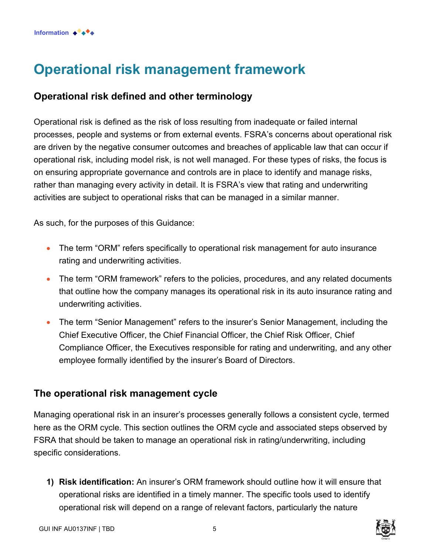# <span id="page-4-0"></span>**Operational risk management framework**

### **Operational risk defined and other terminology**

Operational risk is defined as the risk of loss resulting from inadequate or failed internal processes, people and systems or from external events. FSRA's concerns about operational risk are driven by the negative consumer outcomes and breaches of applicable law that can occur if operational risk, including model risk, is not well managed. For these types of risks, the focus is on ensuring appropriate governance and controls are in place to identify and manage risks, rather than managing every activity in detail. It is FSRA's view that rating and underwriting activities are subject to operational risks that can be managed in a similar manner.

As such, for the purposes of this Guidance:

- The term "ORM" refers specifically to operational risk management for auto insurance rating and underwriting activities.
- The term "ORM framework" refers to the policies, procedures, and any related documents that outline how the company manages its operational risk in its auto insurance rating and underwriting activities.
- The term "Senior Management" refers to the insurer's Senior Management, including the Chief Executive Officer, the Chief Financial Officer, the Chief Risk Officer, Chief Compliance Officer, the Executives responsible for rating and underwriting, and any other employee formally identified by the insurer's Board of Directors.

### **The operational risk management cycle**

Managing operational risk in an insurer's processes generally follows a consistent cycle, termed here as the ORM cycle. This section outlines the ORM cycle and associated steps observed by FSRA that should be taken to manage an operational risk in rating/underwriting, including specific considerations.

**1) Risk identification:** An insurer's ORM framework should outline how it will ensure that operational risks are identified in a timely manner. The specific tools used to identify operational risk will depend on a range of relevant factors, particularly the nature

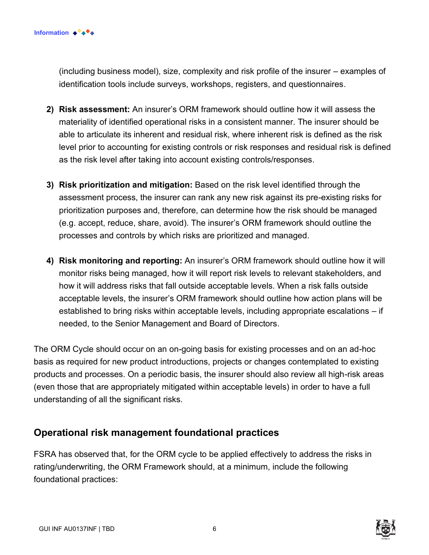(including business model), size, complexity and risk profile of the insurer – examples of identification tools include surveys, workshops, registers, and questionnaires.

- **2) Risk assessment:** An insurer's ORM framework should outline how it will assess the materiality of identified operational risks in a consistent manner. The insurer should be able to articulate its inherent and residual risk, where inherent risk is defined as the risk level prior to accounting for existing controls or risk responses and residual risk is defined as the risk level after taking into account existing controls/responses.
- **3) Risk prioritization and mitigation:** Based on the risk level identified through the assessment process, the insurer can rank any new risk against its pre-existing risks for prioritization purposes and, therefore, can determine how the risk should be managed (e.g. accept, reduce, share, avoid). The insurer's ORM framework should outline the processes and controls by which risks are prioritized and managed.
- **4) Risk monitoring and reporting:** An insurer's ORM framework should outline how it will monitor risks being managed, how it will report risk levels to relevant stakeholders, and how it will address risks that fall outside acceptable levels. When a risk falls outside acceptable levels, the insurer's ORM framework should outline how action plans will be established to bring risks within acceptable levels, including appropriate escalations – if needed, to the Senior Management and Board of Directors.

The ORM Cycle should occur on an on-going basis for existing processes and on an ad-hoc basis as required for new product introductions, projects or changes contemplated to existing products and processes. On a periodic basis, the insurer should also review all high-risk areas (even those that are appropriately mitigated within acceptable levels) in order to have a full understanding of all the significant risks.

### **Operational risk management foundational practices**

FSRA has observed that, for the ORM cycle to be applied effectively to address the risks in rating/underwriting, the ORM Framework should, at a minimum, include the following foundational practices:

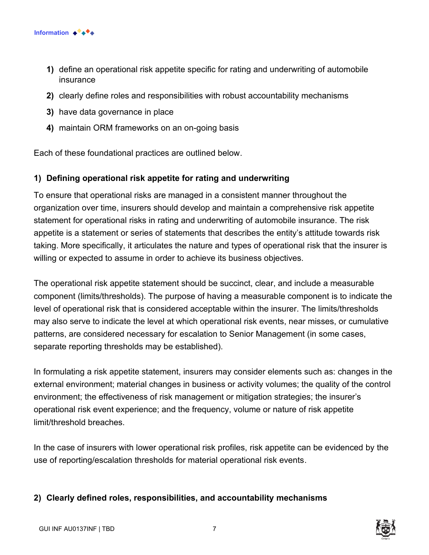

- **1)** define an operational risk appetite specific for rating and underwriting of automobile insurance
- **2)** clearly define roles and responsibilities with robust accountability mechanisms
- **3)** have data governance in place
- **4)** maintain ORM frameworks on an on-going basis

Each of these foundational practices are outlined below.

#### **1) Defining operational risk appetite for rating and underwriting**

To ensure that operational risks are managed in a consistent manner throughout the organization over time, insurers should develop and maintain a comprehensive risk appetite statement for operational risks in rating and underwriting of automobile insurance. The risk appetite is a statement or series of statements that describes the entity's attitude towards risk taking. More specifically, it articulates the nature and types of operational risk that the insurer is willing or expected to assume in order to achieve its business objectives.

The operational risk appetite statement should be succinct, clear, and include a measurable component (limits/thresholds). The purpose of having a measurable component is to indicate the level of operational risk that is considered acceptable within the insurer. The limits/thresholds may also serve to indicate the level at which operational risk events, near misses, or cumulative patterns, are considered necessary for escalation to Senior Management (in some cases, separate reporting thresholds may be established).

In formulating a risk appetite statement, insurers may consider elements such as: changes in the external environment; material changes in business or activity volumes; the quality of the control environment; the effectiveness of risk management or mitigation strategies; the insurer's operational risk event experience; and the frequency, volume or nature of risk appetite limit/threshold breaches.

In the case of insurers with lower operational risk profiles, risk appetite can be evidenced by the use of reporting/escalation thresholds for material operational risk events.

#### **2) Clearly defined roles, responsibilities, and accountability mechanisms**

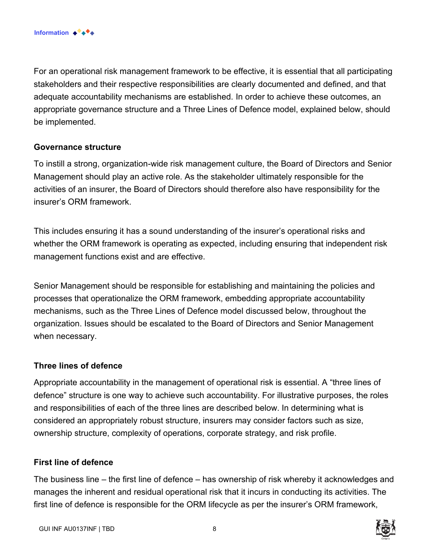For an operational risk management framework to be effective, it is essential that all participating stakeholders and their respective responsibilities are clearly documented and defined, and that adequate accountability mechanisms are established. In order to achieve these outcomes, an appropriate governance structure and a Three Lines of Defence model, explained below, should be implemented.

#### **Governance structure**

To instill a strong, organization-wide risk management culture, the Board of Directors and Senior Management should play an active role. As the stakeholder ultimately responsible for the activities of an insurer, the Board of Directors should therefore also have responsibility for the insurer's ORM framework.

This includes ensuring it has a sound understanding of the insurer's operational risks and whether the ORM framework is operating as expected, including ensuring that independent risk management functions exist and are effective.

Senior Management should be responsible for establishing and maintaining the policies and processes that operationalize the ORM framework, embedding appropriate accountability mechanisms, such as the Three Lines of Defence model discussed below, throughout the organization. Issues should be escalated to the Board of Directors and Senior Management when necessary.

#### **Three lines of defence**

Appropriate accountability in the management of operational risk is essential. A "three lines of defence" structure is one way to achieve such accountability. For illustrative purposes, the roles and responsibilities of each of the three lines are described below. In determining what is considered an appropriately robust structure, insurers may consider factors such as size, ownership structure, complexity of operations, corporate strategy, and risk profile.

#### **First line of defence**

The business line – the first line of defence – has ownership of risk whereby it acknowledges and manages the inherent and residual operational risk that it incurs in conducting its activities. The first line of defence is responsible for the ORM lifecycle as per the insurer's ORM framework,

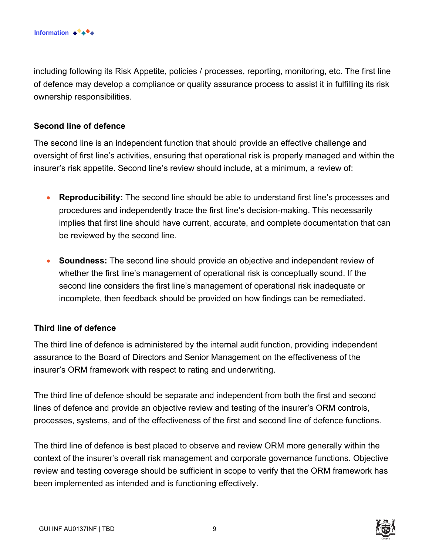including following its Risk Appetite, policies / processes, reporting, monitoring, etc. The first line of defence may develop a compliance or quality assurance process to assist it in fulfilling its risk ownership responsibilities.

#### **Second line of defence**

The second line is an independent function that should provide an effective challenge and oversight of first line's activities, ensuring that operational risk is properly managed and within the insurer's risk appetite. Second line's review should include, at a minimum, a review of:

- **Reproducibility:** The second line should be able to understand first line's processes and procedures and independently trace the first line's decision-making. This necessarily implies that first line should have current, accurate, and complete documentation that can be reviewed by the second line.
- **Soundness:** The second line should provide an objective and independent review of whether the first line's management of operational risk is conceptually sound. If the second line considers the first line's management of operational risk inadequate or incomplete, then feedback should be provided on how findings can be remediated.

#### **Third line of defence**

The third line of defence is administered by the internal audit function, providing independent assurance to the Board of Directors and Senior Management on the effectiveness of the insurer's ORM framework with respect to rating and underwriting.

The third line of defence should be separate and independent from both the first and second lines of defence and provide an objective review and testing of the insurer's ORM controls, processes, systems, and of the effectiveness of the first and second line of defence functions.

The third line of defence is best placed to observe and review ORM more generally within the context of the insurer's overall risk management and corporate governance functions. Objective review and testing coverage should be sufficient in scope to verify that the ORM framework has been implemented as intended and is functioning effectively.

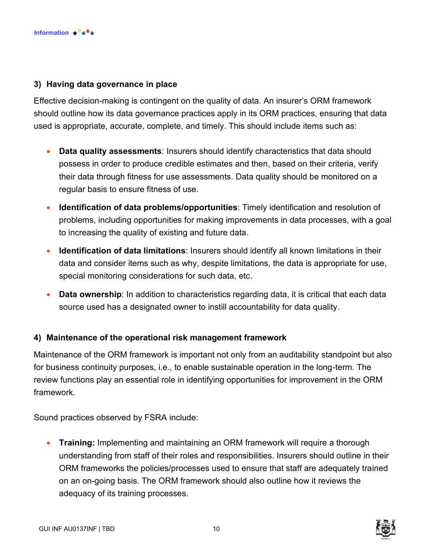

#### **3) Having data governance in place**

Effective decision-making is contingent on the quality of data. An insurer's ORM framework should outline how its data governance practices apply in its ORM practices, ensuring that data used is appropriate, accurate, complete, and timely. This should include items such as:

- **Data quality assessments**: Insurers should identify characteristics that data should possess in order to produce credible estimates and then, based on their criteria, verify their data through fitness for use assessments. Data quality should be monitored on a regular basis to ensure fitness of use.
- **Identification of data problems/opportunities**: Timely identification and resolution of problems, including opportunities for making improvements in data processes, with a goal to increasing the quality of existing and future data.
- **Identification of data limitations**: Insurers should identify all known limitations in their data and consider items such as why, despite limitations, the data is appropriate for use, special monitoring considerations for such data, etc.
- **Data ownership**: In addition to characteristics regarding data, it is critical that each data source used has a designated owner to instill accountability for data quality.

#### **4) Maintenance of the operational risk management framework**

Maintenance of the ORM framework is important not only from an auditability standpoint but also for business continuity purposes, i.e., to enable sustainable operation in the long-term. The review functions play an essential role in identifying opportunities for improvement in the ORM framework.

Sound practices observed by FSRA include:

• **Training:** Implementing and maintaining an ORM framework will require a thorough understanding from staff of their roles and responsibilities. Insurers should outline in their ORM frameworks the policies/processes used to ensure that staff are adequately trained on an on-going basis. The ORM framework should also outline how it reviews the adequacy of its training processes.



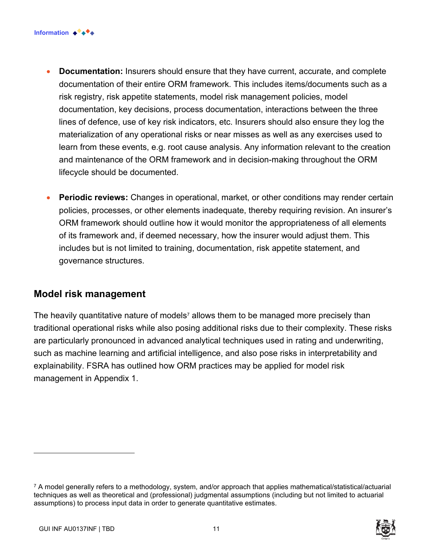- **Documentation:** Insurers should ensure that they have current, accurate, and complete documentation of their entire ORM framework. This includes items/documents such as a risk registry, risk appetite statements, model risk management policies, model documentation, key decisions, process documentation, interactions between the three lines of defence, use of key risk indicators, etc. Insurers should also ensure they log the materialization of any operational risks or near misses as well as any exercises used to learn from these events, e.g. root cause analysis. Any information relevant to the creation and maintenance of the ORM framework and in decision-making throughout the ORM lifecycle should be documented.
- **Periodic reviews:** Changes in operational, market, or other conditions may render certain policies, processes, or other elements inadequate, thereby requiring revision. An insurer's ORM framework should outline how it would monitor the appropriateness of all elements of its framework and, if deemed necessary, how the insurer would adjust them. This includes but is not limited to training, documentation, risk appetite statement, and governance structures.

### **Model risk management**

The heavily quantitative nature of models $^7$  allows them to be managed more precisely than traditional operational risks while also posing additional risks due to their complexity. These risks are particularly pronounced in advanced analytical techniques used in rating and underwriting, such as machine learning and artificial intelligence, and also pose risks in interpretability and explainability. FSRA has outlined how ORM practices may be applied for model risk management in Appendix 1.

<span id="page-10-0"></span><sup>7</sup> A model generally refers to a methodology, system, and/or approach that applies mathematical/statistical/actuarial techniques as well as theoretical and (professional) judgmental assumptions (including but not limited to actuarial assumptions) to process input data in order to generate quantitative estimates.

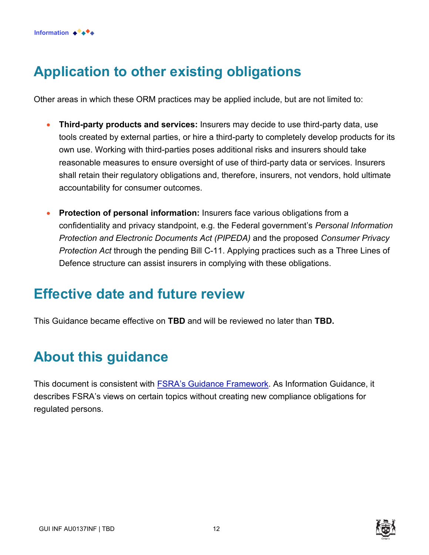# **Application to other existing obligations**

Other areas in which these ORM practices may be applied include, but are not limited to:

- **Third-party products and services:** Insurers may decide to use third-party data, use tools created by external parties, or hire a third-party to completely develop products for its own use. Working with third-parties poses additional risks and insurers should take reasonable measures to ensure oversight of use of third-party data or services. Insurers shall retain their regulatory obligations and, therefore, insurers, not vendors, hold ultimate accountability for consumer outcomes.
- **Protection of personal information:** Insurers face various obligations from a confidentiality and privacy standpoint, e.g. the Federal government's *Personal Information Protection and Electronic Documents Act (PIPEDA)* and the proposed *Consumer Privacy Protection Act* through the pending Bill C-11. Applying practices such as a Three Lines of Defence structure can assist insurers in complying with these obligations.

### <span id="page-11-0"></span>**Effective date and future review**

This Guidance became effective on **TBD** and will be reviewed no later than **TBD.** 

# <span id="page-11-1"></span>**About this guidance**

This document is consistent with [FSRA's Guidance Framework.](https://www.fsrao.ca/regulation/guidance/fsra-guidance-framework) As Information Guidance, it describes FSRA's views on certain topics without creating new compliance obligations for regulated persons.

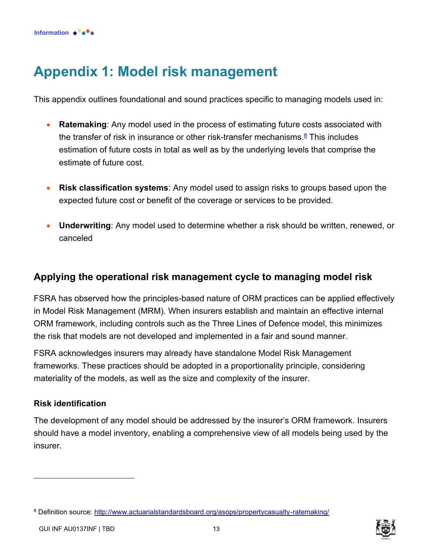# <span id="page-12-0"></span>**Appendix 1: Model risk management**

This appendix outlines foundational and sound practices specific to managing models used in:

- **Ratemaking**: Any model used in the process of estimating future costs associated with the transfer of risk in insurance or other risk-transfer mechanisms.<sup><u>8</u></sup> This includes estimation of future costs in total as well as by the underlying levels that comprise the estimate of future cost.
- **Risk classification systems**: Any model used to assign risks to groups based upon the expected future cost or benefit of the coverage or services to be provided.
- **Underwriting**: Any model used to determine whether a risk should be written, renewed, or canceled

### **Applying the operational risk management cycle to managing model risk**

FSRA has observed how the principles-based nature of ORM practices can be applied effectively in Model Risk Management (MRM). When insurers establish and maintain an effective internal ORM framework, including controls such as the Three Lines of Defence model, this minimizes the risk that models are not developed and implemented in a fair and sound manner.

FSRA acknowledges insurers may already have standalone Model Risk Management frameworks. These practices should be adopted in a proportionality principle, considering materiality of the models, as well as the size and complexity of the insurer.

#### **Risk identification**

The development of any model should be addressed by the insurer's ORM framework. Insurers should have a model inventory, enabling a comprehensive view of all models being used by the insurer.



<sup>&</sup>lt;sup>8</sup> Definition source: <u>http://www.actuarialstandardsboard.org/asops/propertycasualty-ratemaking/</u>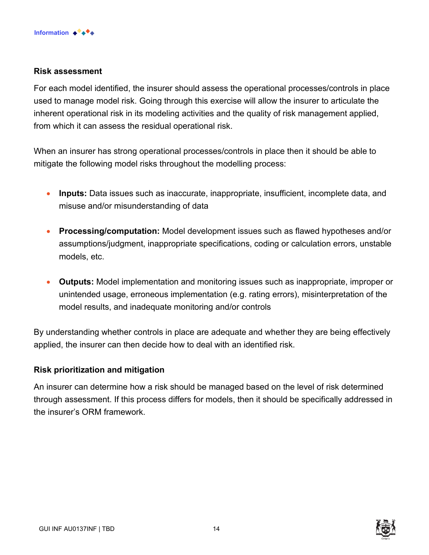#### **Risk assessment**

For each model identified, the insurer should assess the operational processes/controls in place used to manage model risk. Going through this exercise will allow the insurer to articulate the inherent operational risk in its modeling activities and the quality of risk management applied, from which it can assess the residual operational risk.

When an insurer has strong operational processes/controls in place then it should be able to mitigate the following model risks throughout the modelling process:

- **Inputs:** Data issues such as inaccurate, inappropriate, insufficient, incomplete data, and misuse and/or misunderstanding of data
- **Processing/computation:** Model development issues such as flawed hypotheses and/or assumptions/judgment, inappropriate specifications, coding or calculation errors, unstable models, etc.
- **Outputs:** Model implementation and monitoring issues such as inappropriate, improper or unintended usage, erroneous implementation (e.g. rating errors), misinterpretation of the model results, and inadequate monitoring and/or controls

By understanding whether controls in place are adequate and whether they are being effectively applied, the insurer can then decide how to deal with an identified risk.

#### **Risk prioritization and mitigation**

An insurer can determine how a risk should be managed based on the level of risk determined through assessment. If this process differs for models, then it should be specifically addressed in the insurer's ORM framework.

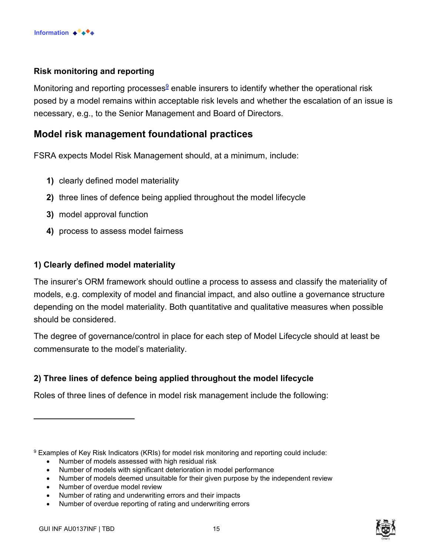#### **Risk monitoring and reporting**

Monitoring and reporting processes $^\mathrm{g}$  enable insurers to identify whether the operational risk posed by a model remains within acceptable risk levels and whether the escalation of an issue is necessary, e.g., to the Senior Management and Board of Directors.

### **Model risk management foundational practices**

FSRA expects Model Risk Management should, at a minimum, include:

- **1)** clearly defined model materiality
- **2)** three lines of defence being applied throughout the model lifecycle
- **3)** model approval function
- **4)** process to assess model fairness

#### **1) Clearly defined model materiality**

The insurer's ORM framework should outline a process to assess and classify the materiality of models, e.g. complexity of model and financial impact, and also outline a governance structure depending on the model materiality. Both quantitative and qualitative measures when possible should be considered.

The degree of governance/control in place for each step of Model Lifecycle should at least be commensurate to the model's materiality.

### **2) Three lines of defence being applied throughout the model lifecycle**

Roles of three lines of defence in model risk management include the following:

 $^9$  Examples of Key Risk Indicators (KRIs) for model risk monitoring and reporting could include:

- Number of models assessed with high residual risk
- Number of models with significant deterioration in model performance
- Number of models deemed unsuitable for their given purpose by the independent review
- Number of overdue model review
- Number of rating and underwriting errors and their impacts
- Number of overdue reporting of rating and underwriting errors

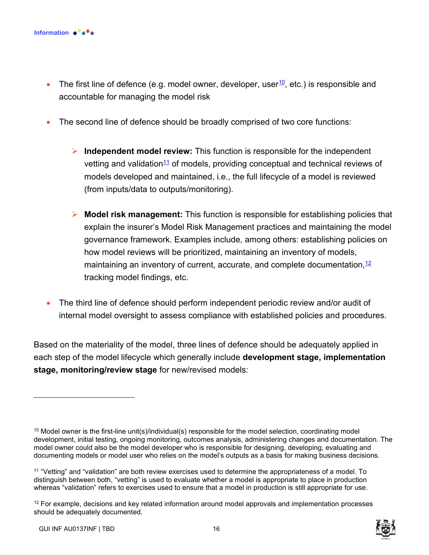

- The first line of defence (e.g. model owner, developer, user  $10$ , etc.) is responsible and accountable for managing the model risk
- The second line of defence should be broadly comprised of two core functions:
	- ➢ **Independent model review:** This function is responsible for the independent vetting and validation $11$  of models, providing conceptual and technical reviews of models developed and maintained, i.e., the full lifecycle of a model is reviewed (from inputs/data to outputs/monitoring).
	- ➢ **Model risk management:** This function is responsible for establishing policies that explain the insurer's Model Risk Management practices and maintaining the model governance framework. Examples include, among others: establishing policies on how model reviews will be prioritized, maintaining an inventory of models, maintaining an inventory of current, accurate, and complete documentation,  $12$ tracking model findings, etc.
- The third line of defence should perform independent periodic review and/or audit of internal model oversight to assess compliance with established policies and procedures.

Based on the materiality of the model, three lines of defence should be adequately applied in each step of the model lifecycle which generally include **development stage, implementation stage, monitoring/review stage** for new/revised models:

 $12$  For example, decisions and key related information around model approvals and implementation processes should be adequately documented.



<sup>&</sup>lt;sup>10</sup> Model owner is the first-line unit(s)/individual(s) responsible for the model selection, coordinating model development, initial testing, ongoing monitoring, outcomes analysis, administering changes and documentation. The model owner could also be the model developer who is responsible for designing, developing, evaluating and documenting models or model user who relies on the model's outputs as a basis for making business decisions.

<sup>11</sup> "Vetting" and "validation" are both review exercises used to determine the appropriateness of a model. To distinguish between both, "vetting" is used to evaluate whether a model is appropriate to place in production whereas "validation" refers to exercises used to ensure that a model in production is still appropriate for use.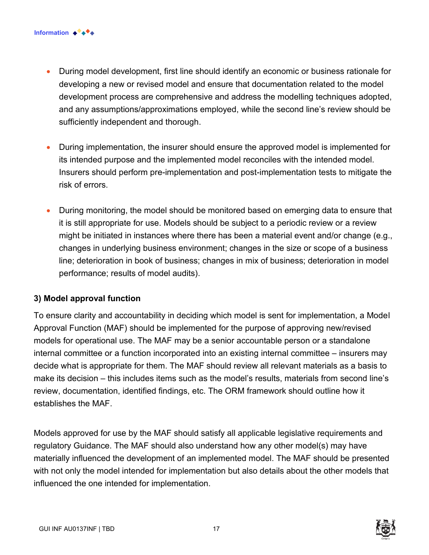- During model development, first line should identify an economic or business rationale for developing a new or revised model and ensure that documentation related to the model development process are comprehensive and address the modelling techniques adopted, and any assumptions/approximations employed, while the second line's review should be sufficiently independent and thorough.
- During implementation, the insurer should ensure the approved model is implemented for its intended purpose and the implemented model reconciles with the intended model. Insurers should perform pre-implementation and post-implementation tests to mitigate the risk of errors.
- During monitoring, the model should be monitored based on emerging data to ensure that it is still appropriate for use. Models should be subject to a periodic review or a review might be initiated in instances where there has been a material event and/or change (e.g., changes in underlying business environment; changes in the size or scope of a business line; deterioration in book of business; changes in mix of business; deterioration in model performance; results of model audits).

#### **3) Model approval function**

To ensure clarity and accountability in deciding which model is sent for implementation, a Model Approval Function (MAF) should be implemented for the purpose of approving new/revised models for operational use. The MAF may be a senior accountable person or a standalone internal committee or a function incorporated into an existing internal committee – insurers may decide what is appropriate for them. The MAF should review all relevant materials as a basis to make its decision – this includes items such as the model's results, materials from second line's review, documentation, identified findings, etc. The ORM framework should outline how it establishes the MAF.

Models approved for use by the MAF should satisfy all applicable legislative requirements and regulatory Guidance. The MAF should also understand how any other model(s) may have materially influenced the development of an implemented model. The MAF should be presented with not only the model intended for implementation but also details about the other models that influenced the one intended for implementation.

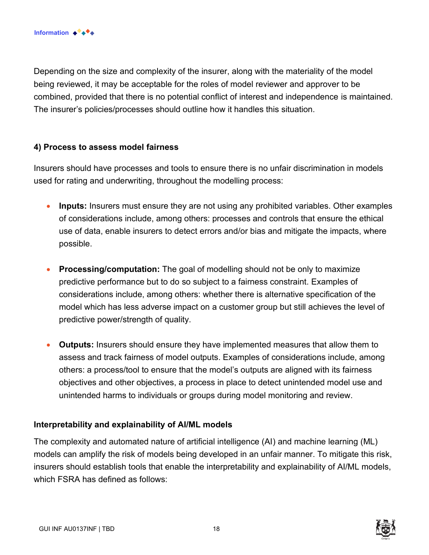Depending on the size and complexity of the insurer, along with the materiality of the model being reviewed, it may be acceptable for the roles of model reviewer and approver to be combined, provided that there is no potential conflict of interest and independence is maintained. The insurer's policies/processes should outline how it handles this situation.

#### **4) Process to assess model fairness**

Insurers should have processes and tools to ensure there is no unfair discrimination in models used for rating and underwriting, throughout the modelling process:

- **Inputs:** Insurers must ensure they are not using any prohibited variables. Other examples of considerations include, among others: processes and controls that ensure the ethical use of data, enable insurers to detect errors and/or bias and mitigate the impacts, where possible.
- **Processing/computation:** The goal of modelling should not be only to maximize predictive performance but to do so subject to a fairness constraint. Examples of considerations include, among others: whether there is alternative specification of the model which has less adverse impact on a customer group but still achieves the level of predictive power/strength of quality.
- **Outputs:** Insurers should ensure they have implemented measures that allow them to assess and track fairness of model outputs. Examples of considerations include, among others: a process/tool to ensure that the model's outputs are aligned with its fairness objectives and other objectives, a process in place to detect unintended model use and unintended harms to individuals or groups during model monitoring and review.

#### **Interpretability and explainability of AI/ML models**

The complexity and automated nature of artificial intelligence (AI) and machine learning (ML) models can amplify the risk of models being developed in an unfair manner. To mitigate this risk, insurers should establish tools that enable the interpretability and explainability of AI/ML models, which FSRA has defined as follows: